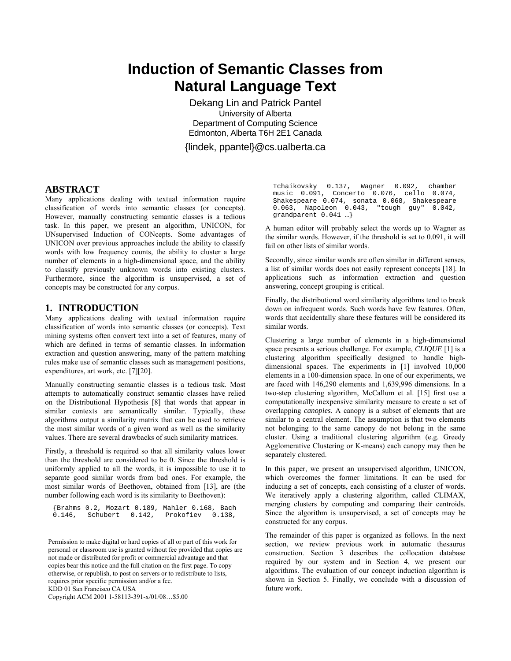# **Induction of Semantic Classes from Natural Language Text**

Dekang Lin and Patrick Pantel University of Alberta Department of Computing Science Edmonton, Alberta T6H 2E1 Canada

{lindek, ppantel}@cs.ualberta.ca

## **ABSTRACT**

Many applications dealing with textual information require classification of words into semantic classes (or concepts). However, manually constructing semantic classes is a tedious task. In this paper, we present an algorithm, UNICON, for UNsupervised Induction of CONcepts. Some advantages of UNICON over previous approaches include the ability to classify words with low frequency counts, the ability to cluster a large number of elements in a high-dimensional space, and the ability to classify previously unknown words into existing clusters. Furthermore, since the algorithm is unsupervised, a set of concepts may be constructed for any corpus.

## **1. INTRODUCTION**

Many applications dealing with textual information require classification of words into semantic classes (or concepts). Text mining systems often convert text into a set of features, many of which are defined in terms of semantic classes. In information extraction and question answering, many of the pattern matching rules make use of semantic classes such as management positions, expenditures, art work, etc. [7][20].

Manually constructing semantic classes is a tedious task. Most attempts to automatically construct semantic classes have relied on the Distributional Hypothesis [8] that words that appear in similar contexts are semantically similar. Typically, these algorithms output a similarity matrix that can be used to retrieve the most similar words of a given word as well as the similarity values. There are several drawbacks of such similarity matrices.

Firstly, a threshold is required so that all similarity values lower than the threshold are considered to be 0. Since the threshold is uniformly applied to all the words, it is impossible to use it to separate good similar words from bad ones. For example, the most similar words of Beethoven, obtained from [13], are (the number following each word is its similarity to Beethoven):

{Brahms 0.2, Mozart 0.189, Mahler 0.168, Bach Prokofiev 0.138,

Permission to make digital or hard copies of all or part of this work for personal or classroom use is granted without fee provided that copies are not made or distributed for profit or commercial advantage and that copies bear this notice and the full citation on the first page. To copy otherwise, or republish, to post on servers or to redistribute to lists, requires prior specific permission and/or a fee. KDD 01 San Francisco CA USA Copyright ACM 2001 1-58113-391-x/01/08...\$5.00

Tchaikovsky 0.137, Wagner 0.092, chamber music 0.091, Concerto 0.076, cello 0.074, Shakespeare 0.074, sonata 0.068, Shakespeare 0.063, Napoleon 0.043, "tough guy" 0.042, grandparent 0.041 …}

A human editor will probably select the words up to Wagner as the similar words. However, if the threshold is set to 0.091, it will fail on other lists of similar words.

Secondly, since similar words are often similar in different senses, a list of similar words does not easily represent concepts [18]. In applications such as information extraction and question answering, concept grouping is critical.

Finally, the distributional word similarity algorithms tend to break down on infrequent words. Such words have few features. Often, words that accidentally share these features will be considered its similar words.

Clustering a large number of elements in a high-dimensional space presents a serious challenge. For example, *CLIQUE* [1] is a clustering algorithm specifically designed to handle highdimensional spaces. The experiments in [1] involved 10,000 elements in a 100-dimension space. In one of our experiments, we are faced with 146,290 elements and 1,639,996 dimensions. In a two-step clustering algorithm, McCallum et al. [15] first use a computationally inexpensive similarity measure to create a set of overlapping *canopies*. A canopy is a subset of elements that are similar to a central element. The assumption is that two elements not belonging to the same canopy do not belong in the same cluster. Using a traditional clustering algorithm (e.g. Greedy Agglomerative Clustering or K-means) each canopy may then be separately clustered.

In this paper, we present an unsupervised algorithm, UNICON, which overcomes the former limitations. It can be used for inducing a set of concepts, each consisting of a cluster of words. We iteratively apply a clustering algorithm, called CLIMAX, merging clusters by computing and comparing their centroids. Since the algorithm is unsupervised, a set of concepts may be constructed for any corpus.

The remainder of this paper is organized as follows. In the next section, we review previous work in automatic thesaurus construction. Section 3 describes the collocation database required by our system and in Section 4, we present our algorithms. The evaluation of our concept induction algorithm is shown in Section 5. Finally, we conclude with a discussion of future work.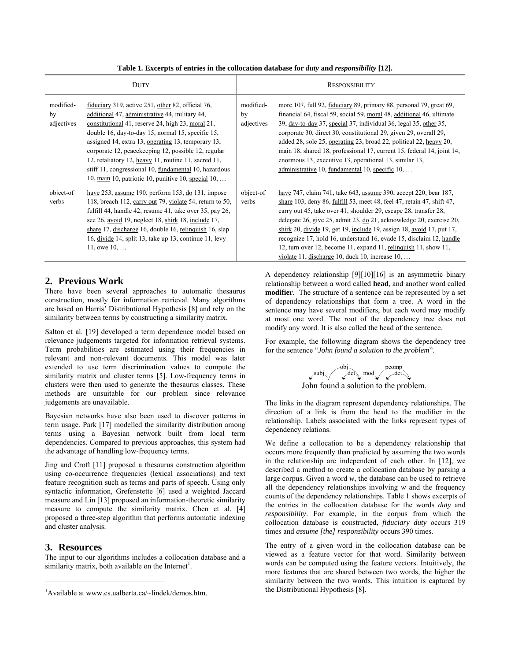|  | Table 1. Excerpts of entries in the collocation database for <i>duty</i> and <i>responsibility</i> [12]. |  |  |  |
|--|----------------------------------------------------------------------------------------------------------|--|--|--|
|  |                                                                                                          |  |  |  |

|                               | DUTY                                                                                                                                                                                                                                                                                                                                                                                                                                                                                                         |                               | <b>RESPONSIBILITY</b>                                                                                                                                                                                                                                                                                                                                                                                                                                                                                                                                                              |
|-------------------------------|--------------------------------------------------------------------------------------------------------------------------------------------------------------------------------------------------------------------------------------------------------------------------------------------------------------------------------------------------------------------------------------------------------------------------------------------------------------------------------------------------------------|-------------------------------|------------------------------------------------------------------------------------------------------------------------------------------------------------------------------------------------------------------------------------------------------------------------------------------------------------------------------------------------------------------------------------------------------------------------------------------------------------------------------------------------------------------------------------------------------------------------------------|
| modified-<br>by<br>adjectives | fiduciary 319, active 251, other 82, official 76,<br>additional 47, administrative 44, military 44,<br>constitutional 41, reserve 24, high 23, moral 21,<br>double 16, day-to-day 15, normal 15, specific 15,<br>assigned 14, extra 13, operating 13, temporary 13,<br>corporate 12, peace keeping 12, possible 12, regular<br>12, retaliatory 12, heavy 11, routine 11, sacred 11,<br>stiff 11, congressional 10, fundamental 10, hazardous<br>10, main 10, patriotic 10, punitive 10, special $10, \ldots$ | modified-<br>by<br>adjectives | more 107, full 92, fiduciary 89, primary 88, personal 79, great 69,<br>financial 64, fiscal 59, social 59, moral 48, additional 46, ultimate<br>39, day-to-day 37, special 37, individual 36, legal 35, other 35,<br>corporate 30, direct 30, constitutional 29, given 29, overall 29,<br>added 28, sole 25, operating 23, broad 22, political 22, heavy 20,<br>main 18, shared 18, professional 17, current 15, federal 14, joint 14,<br>enormous 13, executive 13, operational 13, similar 13,<br>administrative 10, fundamental 10, specific 10,                                |
| object-of<br>verbs            | have $253$ , assume 190, perform 153, do 131, impose<br>118, breach 112, carry out 79, violate 54, return to 50,<br>fulfill 44, handle 42, resume 41, take over 35, pay 26,<br>see 26, avoid 19, neglect 18, shirk 18, include 17,<br>share 17, discharge 16, double 16, relinquish 16, slap<br>16, divide 14, split 13, take up 13, continue 11, levy<br>11, owe $10, \ldots$                                                                                                                               | object-of<br>verbs            | have 747, claim 741, take 643, assume 390, accept 220, bear 187,<br>share 103, deny 86, fulfill 53, meet 48, feel 47, retain 47, shift 47,<br>carry out 45, take over 41, shoulder 29, escape 28, transfer 28,<br>delegate 26, give 25, admit 23, $\underline{do}$ 21, acknowledge 20, exercise 20,<br>shirk 20, divide 19, get 19, include 19, assign 18, avoid 17, put 17,<br>recognize 17, hold 16, understand 16, evade 15, disclaim 12, handle<br>12, turn over 12, become 11, expand 11, relinguish 11, show 11,<br>violate 11, discharge 10, duck 10, increase $10, \ldots$ |

# **2. Previous Work**

There have been several approaches to automatic thesaurus construction, mostly for information retrieval. Many algorithms are based on Harris' Distributional Hypothesis [8] and rely on the similarity between terms by constructing a similarity matrix.

Salton et al. [19] developed a term dependence model based on relevance judgements targeted for information retrieval systems. Term probabilities are estimated using their frequencies in relevant and non-relevant documents. This model was later extended to use term discrimination values to compute the similarity matrix and cluster terms [5]. Low-frequency terms in clusters were then used to generate the thesaurus classes. These methods are unsuitable for our problem since relevance judgements are unavailable.

Bayesian networks have also been used to discover patterns in term usage. Park [17] modelled the similarity distribution among terms using a Bayesian network built from local term dependencies. Compared to previous approaches, this system had the advantage of handling low-frequency terms.

Jing and Croft [11] proposed a thesaurus construction algorithm using co-occurrence frequencies (lexical associations) and text feature recognition such as terms and parts of speech. Using only syntactic information, Grefenstette [6] used a weighted Jaccard measure and Lin [13] proposed an information-theoretic similarity measure to compute the similarity matrix. Chen et al. [4] proposed a three-step algorithm that performs automatic indexing and cluster analysis.

# **3. Resources**

1

The input to our algorithms includes a collocation database and a similarity matrix, both available on the Internet<sup>1</sup>.

A dependency relationship [9][10][16] is an asymmetric binary relationship between a word called **head**, and another word called **modifier**. The structure of a sentence can be represented by a set of dependency relationships that form a tree. A word in the sentence may have several modifiers, but each word may modify at most one word. The root of the dependency tree does not modify any word. It is also called the head of the sentence.

For example, the following diagram shows the dependency tree for the sentence "*John found a solution to the problem*".

John found a solution to the problem. subj obj<br>det mod

The links in the diagram represent dependency relationships. The direction of a link is from the head to the modifier in the relationship. Labels associated with the links represent types of dependency relations.

We define a collocation to be a dependency relationship that occurs more frequently than predicted by assuming the two words in the relationship are independent of each other. In [12], we described a method to create a collocation database by parsing a large corpus. Given a word *w*, the database can be used to retrieve all the dependency relationships involving *w* and the frequency counts of the dependency relationships. Table 1 shows excerpts of the entries in the collocation database for the words *duty* and *responsibility*. For example, in the corpus from which the collocation database is constructed, *fiduciary duty* occurs 319 times and *assume [the] responsibility* occurs 390 times.

The entry of a given word in the collocation database can be viewed as a feature vector for that word. Similarity between words can be computed using the feature vectors. Intuitively, the more features that are shared between two words, the higher the similarity between the two words. This intuition is captured by the Distributional Hypothesis [8].

<sup>&</sup>lt;sup>1</sup>Available at www.cs.ualberta.ca/~lindek/demos.htm.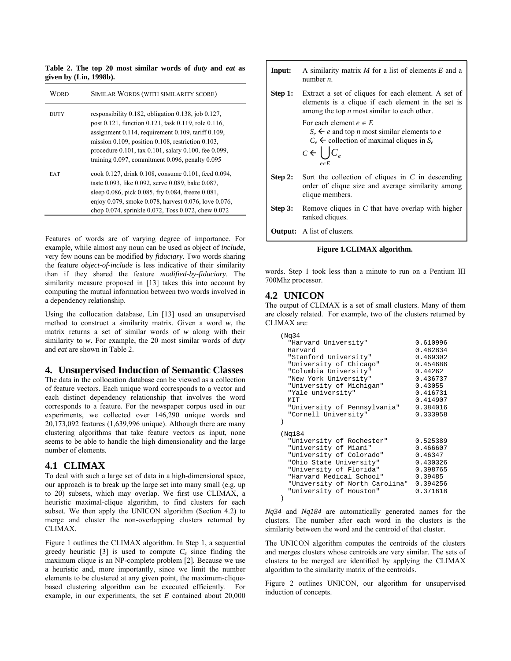**Table 2. The top 20 most similar words of** *duty* **and** *eat* **as given by (Lin, 1998b).** 

| WORD        | SIMILAR WORDS (WITH SIMILARITY SCORE)                                                                                                                                                                                                                                                                                                                              |
|-------------|--------------------------------------------------------------------------------------------------------------------------------------------------------------------------------------------------------------------------------------------------------------------------------------------------------------------------------------------------------------------|
| <b>DUTY</b> | responsibility $0.182$ , obligation $0.138$ , job $0.127$ ,<br>post 0.121, function 0.121, task 0.119, role 0.116,<br>assignment $0.114$ , requirement $0.109$ , tariff $0.109$ ,<br>mission $0.109$ , position $0.108$ , restriction $0.103$ ,<br>procedure 0.101, tax 0.101, salary 0.100, fee 0.099,<br>training $0.097$ , commitment $0.096$ , penalty $0.095$ |
| <b>EAT</b>  | cook 0.127, drink 0.108, consume 0.101, feed 0.094,<br>taste 0.093, like 0.092, serve 0.089, bake 0.087,<br>sleep 0.086, pick 0.085, fry 0.084, freeze 0.081,<br>enjoy 0.079, smoke 0.078, harvest 0.076, love 0.076,<br>chop 0.074, sprinkle 0.072, Toss 0.072, chew 0.072                                                                                        |

Features of words are of varying degree of importance. For example, while almost any noun can be used as object of *include*, very few nouns can be modified by *fiduciary*. Two words sharing the feature *object-of-include* is less indicative of their similarity than if they shared the feature *modified-by-fiduciary*. The similarity measure proposed in [13] takes this into account by computing the mutual information between two words involved in a dependency relationship.

Using the collocation database, Lin [13] used an unsupervised method to construct a similarity matrix. Given a word *w*, the matrix returns a set of similar words of *w* along with their similarity to *w*. For example, the 20 most similar words of *duty*  and *eat* are shown in Table 2.

#### **4. Unsupervised Induction of Semantic Classes**

The data in the collocation database can be viewed as a collection of feature vectors. Each unique word corresponds to a vector and each distinct dependency relationship that involves the word corresponds to a feature. For the newspaper corpus used in our experiments, we collected over 146,290 unique words and 20,173,092 features (1,639,996 unique). Although there are many clustering algorithms that take feature vectors as input, none seems to be able to handle the high dimensionality and the large number of elements.

#### **4.1 CLIMAX**

To deal with such a large set of data in a high-dimensional space, our approach is to break up the large set into many small (e.g. up to 20) subsets, which may overlap. We first use CLIMAX, a heuristic maximal-clique algorithm, to find clusters for each subset. We then apply the UNICON algorithm (Section 4.2) to merge and cluster the non-overlapping clusters returned by CLIMAX.

Figure 1 outlines the CLIMAX algorithm. In Step 1, a sequential greedy heuristic  $\lceil 3 \rceil$  is used to compute  $C_e$  since finding the maximum clique is an NP-complete problem [2]. Because we use a heuristic and, more importantly, since we limit the number elements to be clustered at any given point, the maximum-cliquebased clustering algorithm can be executed efficiently. For example, in our experiments, the set *E* contained about 20,000

| Input:  | A similarity matrix M for a list of elements E and a<br>number $n$ .                                                                                                                                        |
|---------|-------------------------------------------------------------------------------------------------------------------------------------------------------------------------------------------------------------|
|         | <b>Step 1:</b> Extract a set of cliques for each element. A set of<br>elements is a clique if each element in the set is<br>among the top $n$ most similar to each other.                                   |
|         | For each element $e \in E$<br>$S_e \leftarrow e$ and top <i>n</i> most similar elements to <i>e</i><br>$C_e$ $\leftarrow$ collection of maximal cliques in $S_e$<br>$C \leftarrow \bigcup C_e$<br>$e \in F$ |
| Step 2: | Sort the collection of cliques in $C$ in descending<br>order of clique size and average similarity among<br>clique members.                                                                                 |
|         | <b>Step 3:</b> Remove cliques in C that have overlap with higher<br>ranked cliques.                                                                                                                         |
|         | <b>Output:</b> A list of clusters.                                                                                                                                                                          |

**Figure 1***.***CLIMAX algorithm.** 

words. Step 1 took less than a minute to run on a Pentium III 700Mhz processor.

## **4.2 UNICON**

The output of CLIMAX is a set of small clusters. Many of them are closely related. For example, two of the clusters returned by CLIMAX are:

| (Ng34                          |          |
|--------------------------------|----------|
| "Harvard University"           | 0.610996 |
| Harvard                        | 0.482834 |
| "Stanford University"          | 0.469302 |
| "University of Chicago"        | 0.454686 |
| "Columbia University"          | 0.44262  |
| "New York University"          | 0.436737 |
| "University of Michigan"       | 0.43055  |
| "Yale university"              | 0.416731 |
| MIT                            | 0.414907 |
| "University of Pennsylvania"   | 0.384016 |
| "Cornell University"           | 0.333958 |
|                                |          |
|                                |          |
| (Nq184)                        |          |
| "University of Rochester"      | 0.525389 |
| "University of Miami"          | 0.466607 |
| "University of Colorado"       | 0.46347  |
| "Ohio State University"        | 0.430326 |
| "University of Florida"        | 0.398765 |
| "Harvard Medical School"       | 0.39485  |
| "University of North Carolina" | 0.394256 |
| "University of Houston"        | 0.371618 |
|                                |          |

*Nq34* and *Nq184* are automatically generated names for the clusters. The number after each word in the clusters is the similarity between the word and the centroid of that cluster.

The UNICON algorithm computes the centroids of the clusters and merges clusters whose centroids are very similar. The sets of clusters to be merged are identified by applying the CLIMAX algorithm to the similarity matrix of the centroids.

Figure 2 outlines UNICON, our algorithm for unsupervised induction of concepts.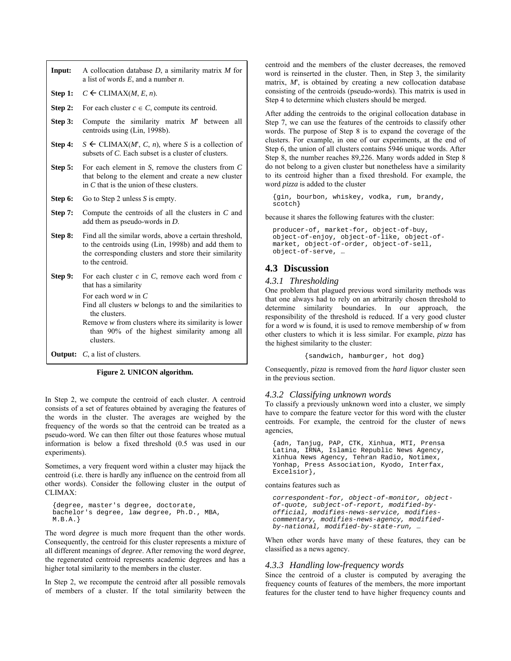| Input:  | A collocation database $D$ , a similarity matrix $M$ for<br>a list of words $E$ , and a number $n$ .                                                                                                                         |
|---------|------------------------------------------------------------------------------------------------------------------------------------------------------------------------------------------------------------------------------|
| Step 1: | $C \leftarrow CLIMAX(M, E, n)$ .                                                                                                                                                                                             |
| Step 2: | For each cluster $c \in C$ , compute its centroid.                                                                                                                                                                           |
| Step 3: | Compute the similarity matrix $M'$ between all<br>centroids using (Lin, 1998b).                                                                                                                                              |
| Step 4: | $S \leftarrow CLIMAX(M', C, n)$ , where S is a collection of<br>subsets of C. Each subset is a cluster of clusters.                                                                                                          |
| Step 5: | For each element in $S$ , remove the clusters from $C$<br>that belong to the element and create a new cluster<br>in $C$ that is the union of these clusters.                                                                 |
| Step 6: | Go to Step 2 unless $S$ is empty.                                                                                                                                                                                            |
| Step 7: | Compute the centroids of all the clusters in $C$ and<br>add them as pseudo-words in $D$ .                                                                                                                                    |
| Step 8: | Find all the similar words, above a certain threshold,<br>to the centroids using (Lin, 1998b) and add them to<br>the corresponding clusters and store their similarity<br>to the centroid.                                   |
| Step 9: | For each cluster $c$ in $C$ , remove each word from $c$<br>that has a similarity                                                                                                                                             |
|         | For each word $w$ in $C$<br>Find all clusters $w$ belongs to and the similarities to<br>the clusters.<br>Remove $w$ from clusters where its similarity is lower<br>than 90% of the highest similarity among all<br>clusters. |
|         | <b>Output:</b> $C$ , a list of clusters.                                                                                                                                                                                     |

**Figure 2***.* **UNICON algorithm.** 

In Step 2, we compute the centroid of each cluster. A centroid consists of a set of features obtained by averaging the features of the words in the cluster. The averages are weighed by the frequency of the words so that the centroid can be treated as a pseudo-word. We can then filter out those features whose mutual information is below a fixed threshold (0.5 was used in our experiments).

Sometimes, a very frequent word within a cluster may hijack the centroid (i.e. there is hardly any influence on the centroid from all other words). Consider the following cluster in the output of CLIMAX:

```
{degree, master's degree, doctorate, 
bachelor's degree, law degree, Ph.D., MBA, 
M.B.A.}
```
The word *degree* is much more frequent than the other words. Consequently, the centroid for this cluster represents a mixture of all different meanings of *degree*. After removing the word *degree*, the regenerated centroid represents academic degrees and has a higher total similarity to the members in the cluster.

In Step 2, we recompute the centroid after all possible removals of members of a cluster. If the total similarity between the

centroid and the members of the cluster decreases, the removed word is reinserted in the cluster. Then, in Step 3, the similarity matrix, *M*', is obtained by creating a new collocation database consisting of the centroids (pseudo-words). This matrix is used in Step 4 to determine which clusters should be merged.

After adding the centroids to the original collocation database in Step 7, we can use the features of the centroids to classify other words. The purpose of Step 8 is to expand the coverage of the clusters. For example, in one of our experiments, at the end of Step 6, the union of all clusters contains 5946 unique words. After Step 8, the number reaches 89,226. Many words added in Step 8 do not belong to a given cluster but nonetheless have a similarity to its centroid higher than a fixed threshold. For example, the word *pizza* is added to the cluster

{gin, bourbon, whiskey, vodka, rum, brandy, scotch}

because it shares the following features with the cluster:

```
producer-of, market-for, object-of-buy, 
object-of-enjoy, object-of-like, object-of-
market, object-of-order, object-of-sell, 
object-of-serve, …
```
# **4.3 Discussion**

#### *4.3.1 Thresholding*

One problem that plagued previous word similarity methods was that one always had to rely on an arbitrarily chosen threshold to determine similarity boundaries. In our approach, the responsibility of the threshold is reduced. If a very good cluster for a word *w* is found, it is used to remove membership of *w* from other clusters to which it is less similar. For example, *pizza* has the highest similarity to the cluster:

```
{sandwich, hamburger, hot dog}
```
Consequently, *pizza* is removed from the *hard liquor* cluster seen in the previous section.

#### *4.3.2 Classifying unknown words*

To classify a previously unknown word into a cluster, we simply have to compare the feature vector for this word with the cluster centroids. For example, the centroid for the cluster of news agencies,

{adn, Tanjug, PAP, CTK, Xinhua, MTI, Prensa Latina, IRNA, Islamic Republic News Agency, Xinhua News Agency, Tehran Radio, Notimex, Yonhap, Press Association, Kyodo, Interfax, Excelsior},

contains features such as

*correspondent-for, object-of-monitor, objectof-quote, subject-of-report, modified-byofficial, modifies-news-service, modifiescommentary, modifies-news-agency, modifiedby-national, modified-by-state-run, …* 

When other words have many of these features, they can be classified as a news agency.

# *4.3.3 Handling low-frequency words*

Since the centroid of a cluster is computed by averaging the frequency counts of features of the members, the more important features for the cluster tend to have higher frequency counts and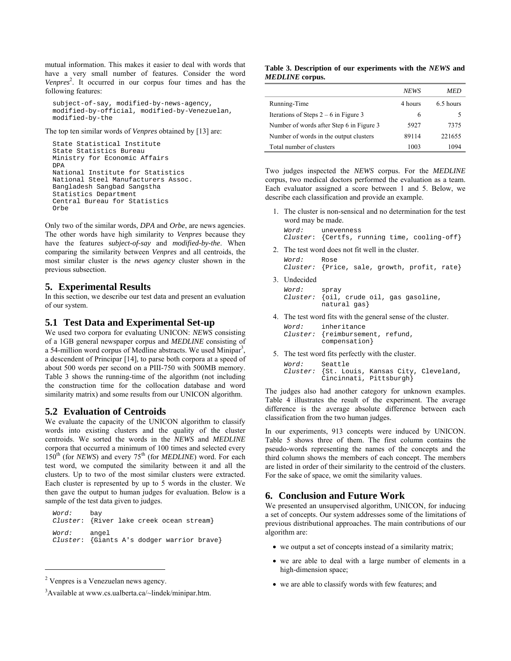mutual information. This makes it easier to deal with words that have a very small number of features. Consider the word *Venpres*<sup>2</sup> . It occurred in our corpus four times and has the following features:

```
subject-of-say, modified-by-news-agency, 
modified-by-official, modified-by-Venezuelan, 
modified-by-the
```
The top ten similar words of *Venpres* obtained by [13] are:

```
State Statistical Institute 
State Statistics Bureau 
Ministry for Economic Affairs 
DPA 
National Institute for Statistics 
National Steel Manufacturers Assoc. 
Bangladesh Sangbad Sangstha 
Statistics Department 
Central Bureau for Statistics 
Orbe
```
Only two of the similar words, *DPA* and *Orbe*, are news agencies. The other words have high similarity to *Venpres* because they have the features s*ubject-of-say* and *modified-by-the*. When comparing the similarity between *Venpres* and all centroids, the most similar cluster is the *news agency* cluster shown in the previous subsection.

#### **5. Experimental Results**

In this section, we describe our test data and present an evaluation of our system.

#### **5.1 Test Data and Experimental Set-up**

We used two corpora for evaluating UNICON: *NEWS* consisting of a 1GB general newspaper corpus and *MEDLINE* consisting of a 54-million word corpus of Medline abstracts. We used Minipar<sup>3</sup>, a descendent of Principar [14], to parse both corpora at a speed of about 500 words per second on a PIII-750 with 500MB memory. Table 3 shows the running-time of the algorithm (not including the construction time for the collocation database and word similarity matrix) and some results from our UNICON algorithm.

# **5.2 Evaluation of Centroids**

We evaluate the capacity of the UNICON algorithm to classify words into existing clusters and the quality of the cluster centroids. We sorted the words in the *NEWS* and *MEDLINE*  corpora that occurred a minimum of 100 times and selected every 150<sup>th</sup> (for *NEWS*) and every 75<sup>th</sup> (for *MEDLINE*) word. For each test word, we computed the similarity between it and all the clusters. Up to two of the most similar clusters were extracted. Each cluster is represented by up to 5 words in the cluster. We then gave the output to human judges for evaluation. Below is a sample of the test data given to judges.

*Word:* bay *Cluster*: {River lake creek ocean stream} *Word:* angel *Cluster*: {Giants A's dodger warrior brave}

 $\overline{a}$ 

#### **Table 3. Description of our experiments with the** *NEWS* **and**  *MEDLINE* **corpus.**

|                                          | <b>NEWS</b> | MED       |
|------------------------------------------|-------------|-----------|
| Running-Time                             | 4 hours     | 6.5 hours |
| Iterations of Steps $2 - 6$ in Figure 3  | 6           |           |
| Number of words after Step 6 in Figure 3 | 5927        | 7375      |
| Number of words in the output clusters   | 89114       | 221655    |
| Total number of clusters                 | 1003        | 1094      |

Two judges inspected the *NEWS* corpus. For the *MEDLINE* corpus, two medical doctors performed the evaluation as a team. Each evaluator assigned a score between 1 and 5. Below, we describe each classification and provide an example.

1. The cluster is non-sensical and no determination for the test word may be made.

*Word:* unevenness *Cluster*: {Certfs, running time, cooling-off}

2. The test word does not fit well in the cluster.

*Word:* Rose *Cluster:* {Price, sale, growth, profit, rate}

3. Undecided

*Word:* spray<br>*Cluster:* {oil, *Cluster:* {oil, crude oil, gas gasoline, natural gas}

4. The test word fits with the general sense of the cluster.

```
Word: inheritance 
Cluster: {reimbursement, refund, 
         compensation}
```
5. The test word fits perfectly with the cluster.

```
Word: Seattle 
Cluster: {St. Louis, Kansas City, Cleveland, 
         Cincinnati, Pittsburgh}
```
The judges also had another category for unknown examples. Table 4 illustrates the result of the experiment. The average difference is the average absolute difference between each classification from the two human judges.

In our experiments, 913 concepts were induced by UNICON. Table 5 shows three of them. The first column contains the pseudo-words representing the names of the concepts and the third column shows the members of each concept. The members are listed in order of their similarity to the centroid of the clusters. For the sake of space, we omit the similarity values.

# **6. Conclusion and Future Work**

We presented an unsupervised algorithm, UNICON, for inducing a set of concepts. Our system addresses some of the limitations of previous distributional approaches. The main contributions of our algorithm are:

- we output a set of concepts instead of a similarity matrix;
- we are able to deal with a large number of elements in a high-dimension space;
- we are able to classify words with few features; and

<sup>&</sup>lt;sup>2</sup> Venpres is a Venezuelan news agency.

<sup>&</sup>lt;sup>3</sup>Available at www.cs.ualberta.ca/~lindek/minipar.htm.